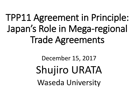# TPP11 Agreement in Principle: Japan's Role in Mega-regional Trade Agreements

# December 15, 2017 Shujiro URATA Waseda University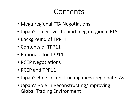# Contents

- Mega-regional FTA Negotiations
- Japan's objectives behind mega-regional FTAs
- Background of TPP11
- Contents of TPP11
- Rationale for TPP11
- RCEP Negotiations
- RCEP and TPP11
- Japan's Role in constructing mega-regional FTAs
- Japan's Role in Reconstructing/Improving Global Trading Environment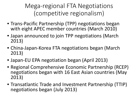Mega-regional FTA Negotiations (competitive regionalism)

- Trans-Pacific Partnership (TPP) negotiations began with eight APEC member countries (March 2010)
- Japan announced to join TPP negotiations (March 2013)
- China-Japan-Korea FTA negotiations began (March 2013)
- Japan-EU EPA negotiation began (April 2013)
- Regional Comprehensive Economic Partnership (RCEP) negotiations began with 16 East Asian countries (May 2013)
- Transatlantic Trade and Investment Partnership (TTIP) negotiations began (July 2013)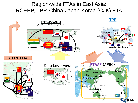#### Region-wide FTAs in East Asia: RCEPP, TPP, China-Japan-Korea (CJK) FTA

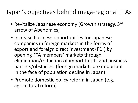## Japan's objectives behind mega-regional FTAs

- Revitalize Japanese economy (Growth strategy, 3rd arrow of Abenomics)
- Increase business opportunities for Japanese companies in foreign markets in the forms of export and foreign direct investment (FDI) by opening FTA members' markets through elimination/reduction of import tariffs and business barriers/obstacles (foreign markets are important in the face of population decline in Japan)
- Promote domestic policy reform in Japan (e.g. agricultural reform)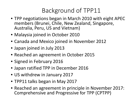### Background of TPP11

- TPP negotiations began in March 2010 with eight APEC members (Brunei, Chile, New Zealand, Singapore, Australia, Peru, US and Vietnam)
- Malaysia joined in October 2010
- Canada and Mexico joined in November 2012
- Japan joined in July 2013
- Reached an agreement in October 2015
- Signed in February 2016
- Japan ratified TPP in December 2016
- US withdrew in January 2017
- TPP11 talks began in May 2017
- Reached an agreement in principle in November 2017: Comprehensive and Progressive for TPP (CPTPP)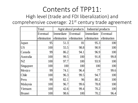## Contents of TPP11:

#### High level (trade and FDI liberalization) and comprehensive coverage: 21<sup>st</sup> century trade agreement

|               | Total       |                         | Agricultural products | Industrial products     |      |  |
|---------------|-------------|-------------------------|-----------------------|-------------------------|------|--|
|               | Eventual    | Immediate Eventual      |                       | Immediate Eventual      |      |  |
|               | elimination | elimination elimination |                       | elimination elimination |      |  |
| Japan         | 95          | 51.3                    | 81                    | 95.3                    | 100  |  |
| <b>US</b>     | 100         | 55.5                    | 98.8                  | 90.9                    | 100  |  |
| Canada        | 99          | 86.2                    | 94.1                  | 96.9                    | 100  |  |
| Australia     | 100         | 99.5                    | 100                   | 91.8                    | 99.8 |  |
| NZ            | 100         | 97.7                    | 100                   | 93.9                    | 100  |  |
| Singapore     | 100         | 100 <sup>:</sup>        | 100                   | $100$ :                 | 100  |  |
| Mexico        | 99          | 74.1                    | 96.4                  | 77 <sup>1</sup>         | 99.6 |  |
| Chile         | 100         | 96.3                    | 99.5                  | 94.7                    | 100  |  |
| Peru          | 99          | 82.1                    | 96                    | 80.2                    | 100  |  |
| Malaysia      | 100         | 96.7                    | 99.6                  | 78.8                    | 100  |  |
| Vietnam       | 100         | 42.6                    | 99.4                  | 70.2                    | 100  |  |
| <b>Brunei</b> | 100         | 98.6                    | 100                   | 70.2                    | 96.4 |  |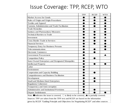#### Issue Coverage: TPP, RCEP, WTO

|                                                                                                                              | TPP | <b>RCEP</b> | <b>WTO</b> |  |  |
|------------------------------------------------------------------------------------------------------------------------------|-----|-------------|------------|--|--|
| <b>Market Access for Goods</b>                                                                                               |     |             |            |  |  |
| Rules of Origin and Origin Procedures                                                                                        |     |             |            |  |  |
| <b>Textiles and Apparel</b>                                                                                                  |     |             |            |  |  |
| Customs Administration and Trade Facilitation                                                                                |     |             |            |  |  |
| <b>Trade Remedies</b>                                                                                                        |     |             |            |  |  |
| Sanitary and Phytosanitary Measures                                                                                          |     |             |            |  |  |
| <b>Technical Barriers to Trade</b>                                                                                           |     |             |            |  |  |
| Investment                                                                                                                   |     |             |            |  |  |
| <b>Cross Border Trade in Services</b>                                                                                        |     |             |            |  |  |
| <b>Financial Services</b>                                                                                                    |     |             |            |  |  |
| Temporary Entry for Business Persons                                                                                         |     |             |            |  |  |
| Telecommunications                                                                                                           |     |             |            |  |  |
| <b>Electronic Commerce</b>                                                                                                   |     |             |            |  |  |
| <b>Government Procurement</b>                                                                                                |     |             |            |  |  |
| <b>Competition Policy</b>                                                                                                    |     |             |            |  |  |
| <b>State-Owned Enterprises and Designated Monopolies</b>                                                                     |     |             |            |  |  |
| <b>Intellectual Property</b>                                                                                                 |     |             |            |  |  |
| Labor                                                                                                                        |     |             |            |  |  |
| Environment                                                                                                                  |     |             |            |  |  |
| Cooperation and Capacity Building                                                                                            |     |             |            |  |  |
| <b>Competitiveness and Business Facilitation</b>                                                                             |     |             |            |  |  |
| Development                                                                                                                  |     |             |            |  |  |
| Small and Medium-Sized Enterprises                                                                                           |     |             |            |  |  |
| <b>Regulatory Coherence</b>                                                                                                  |     |             |            |  |  |
| Tranparency and Anti-corruption                                                                                              |     |             |            |  |  |
| <b>Administrative and Institutional Provisions</b>                                                                           |     |             |            |  |  |
| <b>Dispute Settlelement</b>                                                                                                  |     |             |            |  |  |
| Note: $\bullet$ indicates the issue is covered, $\circlearrowright$ is likely to be covered, $\bullet$ is partially covered. |     |             |            |  |  |
| Sources: TPP are taken from the TPP text and RCEP are based on the information                                               |     |             |            |  |  |
| given by RCEP "Guiding Principle and Objectives for Negotiating RCEP" and other sources                                      |     |             |            |  |  |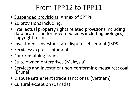# From TPP12 to TPP11

- Suspended provisions: Annex of CPTPP
- 20 provisions including:
- Intellectual property rights related provisions including data protection for new medicines including biologics, copyright term
- Investment: Investor-state dispute settlement (ISDS)
- Services: express shipments
- Four remaining issues
- State owned enterprises (Malaysia)
- Services and Investment non-conforming measures: coal (Brunei)
- Dispute settlement (trade sanctions): (Vietnam)
- Cultural exception (Canada)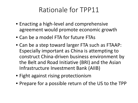## Rationale for TPP11

- Enacting a high-level and comprehensive agreement would promote economic growth
- Can be a model FTA for future FTAs
- Can be a step toward larger FTA such as FTAAP: Especially important as China is attempting to construct China-driven business environment by the Belt and Road Initiative (BRI) and the Asian Infrastructure Investment Bank (AIIB)
- Fight against rising protectionism
- Prepare for a possible return of the US to the TPP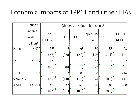## Economic Impacts of TPP11 and Other FTAs

|            | National                       | Changes in value (change in %) |       |       |                        |             |                         |
|------------|--------------------------------|--------------------------------|-------|-------|------------------------|-------------|-------------------------|
|            | Income<br>in 2030<br>(billion) | <b>TPP</b><br>(TPP12)          | TPP11 | TPP16 | Japan-US<br><b>FTA</b> | <b>RCEP</b> | $TPP11+$<br><b>RCEP</b> |
| Japan      | 4,924                          | 125                            | 46    | 98    | 60                     | 56          | 93                      |
|            |                                | (2.5)                          | (0.9) | (2.0) | (1.2)                  | (1.1)       | (1.9)                   |
| <b>IUS</b> | 25,754                         | 131                            | $-2$  | $-6!$ | 52                     |             | $-2$                    |
|            |                                | (0.5)                          | (0)   | (0)   | (0.2)                  | (0)         | (0)                     |
| TPP11      | 15,257                         | 3331                           | 157   | 280   | 58                     | 75          | 214                     |
| Members    |                                | (2.2)                          | (1.0) | (1.8) | (0.4)                  | (0.5)       | (1.4)                   |
| World      | 133,801                        | 492                            | 147   | 449   | 120                    | 286         | 408                     |
|            |                                | (0.4)                          | (0.1) | (0.3) | (0.1)                  | (0.2)       | (0.3)                   |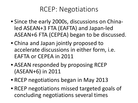## RCEP: Negotiations

- Since the early 2000s, discussions on Chinaled ASEAN+3 FTA (EAFTA) and Japan-led ASEAN+6 FTA (CEPEA) began to be discussed.
- China and Japan jointly proposed to accelerate discussions in either form, i.e. EAFTA or CEPEA in 2011
- ASEAN responded by proposing RCEP (ASEAN+6) in 2011
- RCEP negotiations began in May 2013
- RCEP negotiations missed targeted goals of concluding negotiations several times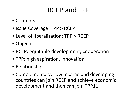## RCEP and TPP

- Contents
- Issue Coverage: TPP > RCEP
- Level of liberalization: TPP > RCEP
- Objectives
- RCEP: equitable development, cooperation
- TPP: high aspiration, innovation
- Relationship
- Complementary: Low income and developing countries can join RCEP and achieve economic development and then can join TPP11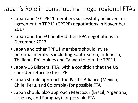## Japan's Role in constructing mega-regional FTAs

- Japan and 10 TPP11 members successfully achieved an agreement in TPP11 (CPTPP) negotiations in November 2017
- Japan and the EU finalized their EPA negotiations in December 2017
- Japan and other TPP11 members should invite potential members including South Korea, Indonesia, Thailand, Philippines and Taiwan to join the TPP11
- Japan-US Bilateral FTA: with a condition that the US consider return to the TPP
- Japan should approach the Pacific Alliance (Mexico, Chile, Peru, and Colombia) for possible FTA
- Japan should also approach Mercosur (Brazil, Argentina, Uruguay, and Paraguay) for possible FTA